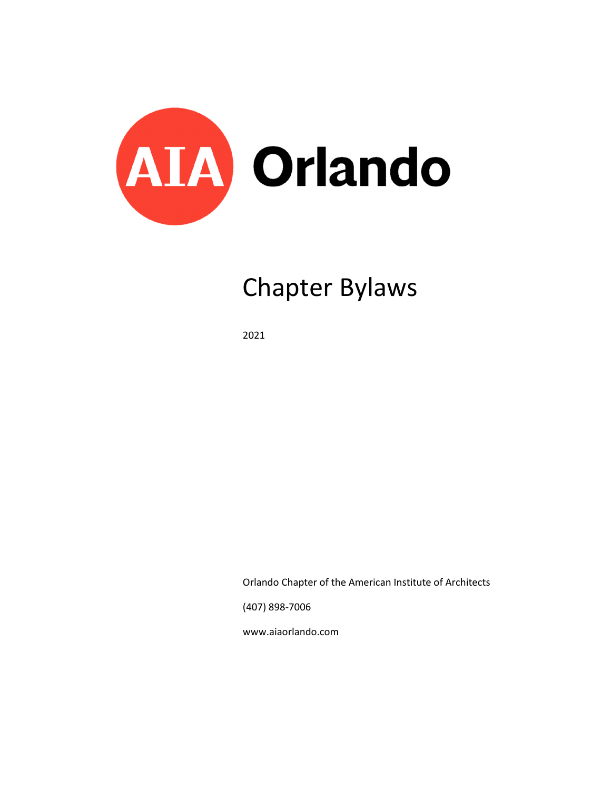

# Chapter Bylaws

2021

Orlando Chapter of the American Institute of Architects

(407) 898-7006

www.aiaorlando.com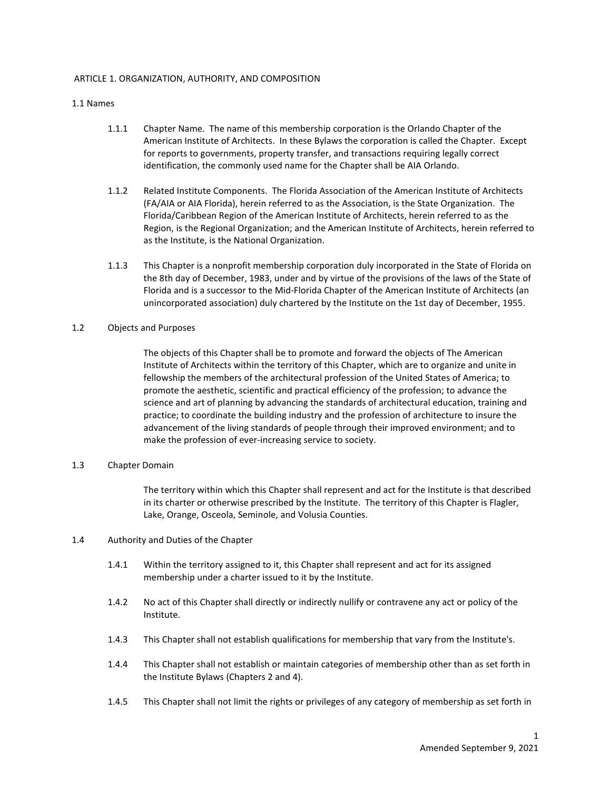## ARTICLE 1. ORGANIZATION, AUTHORITY, AND COMPOSITION

#### 1.1 Names

- 1.1.1 Chapter Name. The name of this membership corporation is the Orlando Chapter of the American Institute of Architects. In these Bylaws the corporation is called the Chapter. Except for reports to governments, property transfer, and transactions requiring legally correct identification, the commonly used name for the Chapter shall be AIA Orlando.
- 1.1.2 Related Institute Components. The Florida Association of the American Institute of Architects (FA/AIA or AIA Florida), herein referred to as the Association, is the State Organization. The Florida/Caribbean Region of the American Institute of Architects, herein referred to as the Region, is the Regional Organization; and the American Institute of Architects, herein referred to as the Institute, is the National Organization.
- 1.1.3 This Chapter is a nonprofit membership corporation duly incorporated in the State of Florida on the 8th day of December, 1983, under and by virtue of the provisions of the laws of the State of Florida and is a successor to the Mid-Florida Chapter of the American Institute of Architects (an unincorporated association) duly chartered by the Institute on the 1st day of December, 1955.

## 1.2 Objects and Purposes

The objects of this Chapter shall be to promote and forward the objects of The American Institute of Architects within the territory of this Chapter, which are to organize and unite in fellowship the members of the architectural profession of the United States of America; to promote the aesthetic, scientific and practical efficiency of the profession; to advance the science and art of planning by advancing the standards of architectural education, training and practice; to coordinate the building industry and the profession of architecture to insure the advancement of the living standards of people through their improved environment; and to make the profession of ever-increasing service to society.

#### 1.3 Chapter Domain

The territory within which this Chapter shall represent and act for the Institute is that described in its charter or otherwise prescribed by the Institute. The territory of this Chapter is Flagler, Lake, Orange, Osceola, Seminole, and Volusia Counties.

- 1.4 Authority and Duties of the Chapter
	- 1.4.1 Within the territory assigned to it, this Chapter shall represent and act for its assigned membership under a charter issued to it by the Institute.
	- 1.4.2 No act of this Chapter shall directly or indirectly nullify or contravene any act or policy of the Institute.
	- 1.4.3 This Chapter shall not establish qualifications for membership that vary from the Institute's.
	- 1.4.4 This Chapter shall not establish or maintain categories of membership other than as set forth in the Institute Bylaws (Chapters 2 and 4).
	- 1.4.5 This Chapter shall not limit the rights or privileges of any category of membership as set forth in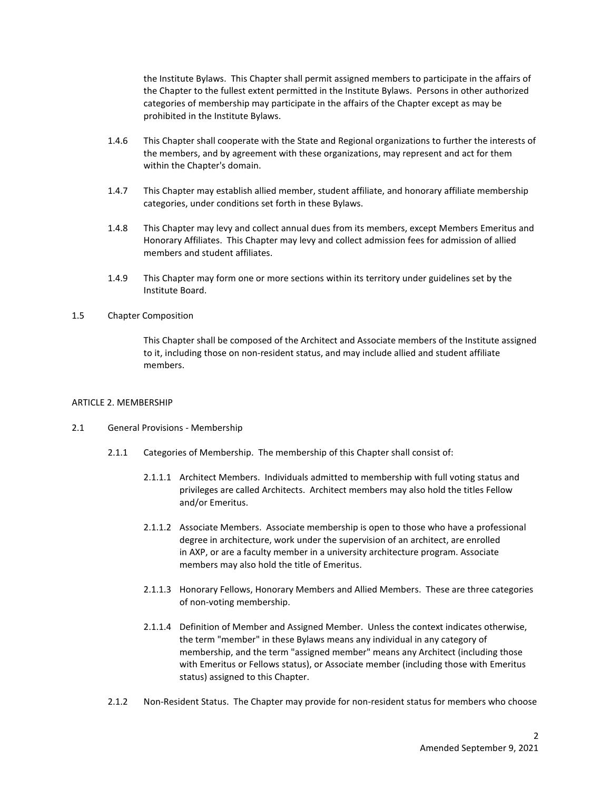the Institute Bylaws. This Chapter shall permit assigned members to participate in the affairs of the Chapter to the fullest extent permitted in the Institute Bylaws. Persons in other authorized categories of membership may participate in the affairs of the Chapter except as may be prohibited in the Institute Bylaws.

- 1.4.6 This Chapter shall cooperate with the State and Regional organizations to further the interests of the members, and by agreement with these organizations, may represent and act for them within the Chapter's domain.
- 1.4.7 This Chapter may establish allied member, student affiliate, and honorary affiliate membership categories, under conditions set forth in these Bylaws.
- 1.4.8 This Chapter may levy and collect annual dues from its members, except Members Emeritus and Honorary Affiliates. This Chapter may levy and collect admission fees for admission of allied members and student affiliates.
- 1.4.9 This Chapter may form one or more sections within its territory under guidelines set by the Institute Board.

#### 1.5 Chapter Composition

This Chapter shall be composed of the Architect and Associate members of the Institute assigned to it, including those on non-resident status, and may include allied and student affiliate members.

#### ARTICLE 2. MEMBERSHIP

#### 2.1 General Provisions - Membership

- 2.1.1 Categories of Membership. The membership of this Chapter shall consist of:
	- 2.1.1.1 Architect Members. Individuals admitted to membership with full voting status and privileges are called Architects. Architect members may also hold the titles Fellow and/or Emeritus.
	- 2.1.1.2 Associate Members. Associate membership is open to those who have a professional degree in architecture, work under the supervision of an architect, are enrolled in AXP, or are a faculty member in a university architecture program. Associate members may also hold the title of Emeritus.
	- 2.1.1.3 Honorary Fellows, Honorary Members and Allied Members. These are three categories of non-voting membership.
	- 2.1.1.4 Definition of Member and Assigned Member. Unless the context indicates otherwise, the term "member" in these Bylaws means any individual in any category of membership, and the term "assigned member" means any Architect (including those with Emeritus or Fellows status), or Associate member (including those with Emeritus status) assigned to this Chapter.
- 2.1.2 Non-Resident Status. The Chapter may provide for non-resident status for members who choose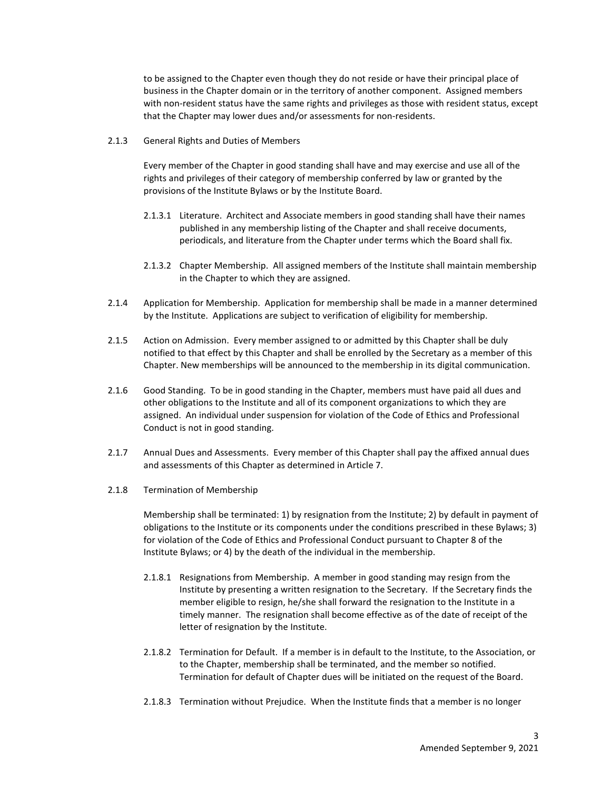to be assigned to the Chapter even though they do not reside or have their principal place of business in the Chapter domain or in the territory of another component. Assigned members with non-resident status have the same rights and privileges as those with resident status, except that the Chapter may lower dues and/or assessments for non-residents.

2.1.3 General Rights and Duties of Members

Every member of the Chapter in good standing shall have and may exercise and use all of the rights and privileges of their category of membership conferred by law or granted by the provisions of the Institute Bylaws or by the Institute Board.

- 2.1.3.1 Literature. Architect and Associate members in good standing shall have their names published in any membership listing of the Chapter and shall receive documents, periodicals, and literature from the Chapter under terms which the Board shall fix.
- 2.1.3.2 Chapter Membership. All assigned members of the Institute shall maintain membership in the Chapter to which they are assigned.
- 2.1.4 Application for Membership. Application for membership shall be made in a manner determined by the Institute. Applications are subject to verification of eligibility for membership.
- 2.1.5 Action on Admission. Every member assigned to or admitted by this Chapter shall be duly notified to that effect by this Chapter and shall be enrolled by the Secretary as a member of this Chapter. New memberships will be announced to the membership in its digital communication.
- 2.1.6 Good Standing. To be in good standing in the Chapter, members must have paid all dues and other obligations to the Institute and all of its component organizations to which they are assigned. An individual under suspension for violation of the Code of Ethics and Professional Conduct is not in good standing.
- 2.1.7 Annual Dues and Assessments. Every member of this Chapter shall pay the affixed annual dues and assessments of this Chapter as determined in Article 7.
- 2.1.8 Termination of Membership

Membership shall be terminated: 1) by resignation from the Institute; 2) by default in payment of obligations to the Institute or its components under the conditions prescribed in these Bylaws; 3) for violation of the Code of Ethics and Professional Conduct pursuant to Chapter 8 of the Institute Bylaws; or 4) by the death of the individual in the membership.

- 2.1.8.1 Resignations from Membership. A member in good standing may resign from the Institute by presenting a written resignation to the Secretary. If the Secretary finds the member eligible to resign, he/she shall forward the resignation to the Institute in a timely manner. The resignation shall become effective as of the date of receipt of the letter of resignation by the Institute.
- 2.1.8.2 Termination for Default. If a member is in default to the Institute, to the Association, or to the Chapter, membership shall be terminated, and the member so notified. Termination for default of Chapter dues will be initiated on the request of the Board.
- 2.1.8.3 Termination without Prejudice. When the Institute finds that a member is no longer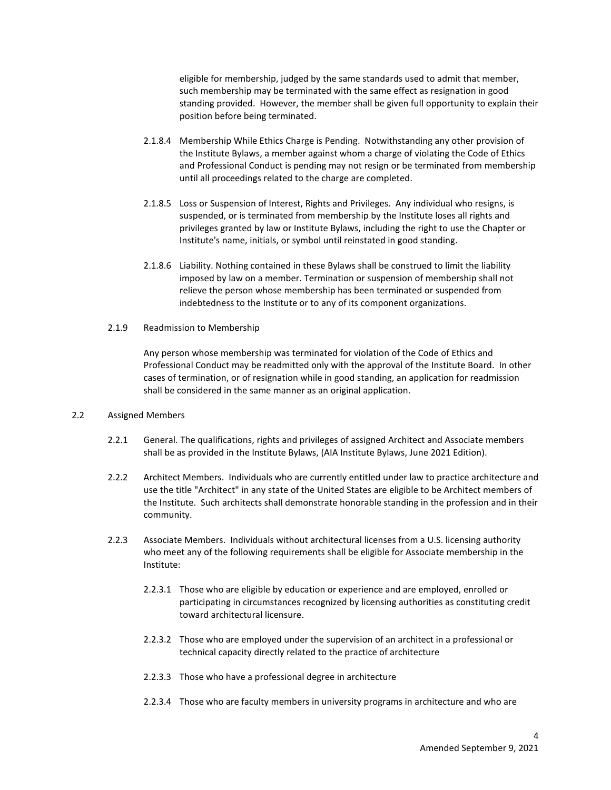eligible for membership, judged by the same standards used to admit that member, such membership may be terminated with the same effect as resignation in good standing provided. However, the member shall be given full opportunity to explain their position before being terminated.

- 2.1.8.4 Membership While Ethics Charge is Pending. Notwithstanding any other provision of the Institute Bylaws, a member against whom a charge of violating the Code of Ethics and Professional Conduct is pending may not resign or be terminated from membership until all proceedings related to the charge are completed.
- 2.1.8.5 Loss or Suspension of Interest, Rights and Privileges. Any individual who resigns, is suspended, or is terminated from membership by the Institute loses all rights and privileges granted by law or Institute Bylaws, including the right to use the Chapter or Institute's name, initials, or symbol until reinstated in good standing.
- 2.1.8.6 Liability. Nothing contained in these Bylaws shall be construed to limit the liability imposed by law on a member. Termination or suspension of membership shall not relieve the person whose membership has been terminated or suspended from indebtedness to the Institute or to any of its component organizations.
- 2.1.9 Readmission to Membership

Any person whose membership was terminated for violation of the Code of Ethics and Professional Conduct may be readmitted only with the approval of the Institute Board. In other cases of termination, or of resignation while in good standing, an application for readmission shall be considered in the same manner as an original application.

# 2.2 Assigned Members

- 2.2.1 General. The qualifications, rights and privileges of assigned Architect and Associate members shall be as provided in the Institute Bylaws, (AIA Institute Bylaws, June 2021 Edition).
- 2.2.2 Architect Members. Individuals who are currently entitled under law to practice architecture and use the title "Architect" in any state of the United States are eligible to be Architect members of the Institute. Such architects shall demonstrate honorable standing in the profession and in their community.
- 2.2.3 Associate Members. Individuals without architectural licenses from a U.S. licensing authority who meet any of the following requirements shall be eligible for Associate membership in the Institute:
	- 2.2.3.1 Those who are eligible by education or experience and are employed, enrolled or participating in circumstances recognized by licensing authorities as constituting credit toward architectural licensure.
	- 2.2.3.2 Those who are employed under the supervision of an architect in a professional or technical capacity directly related to the practice of architecture
	- 2.2.3.3 Those who have a professional degree in architecture
	- 2.2.3.4 Those who are faculty members in university programs in architecture and who are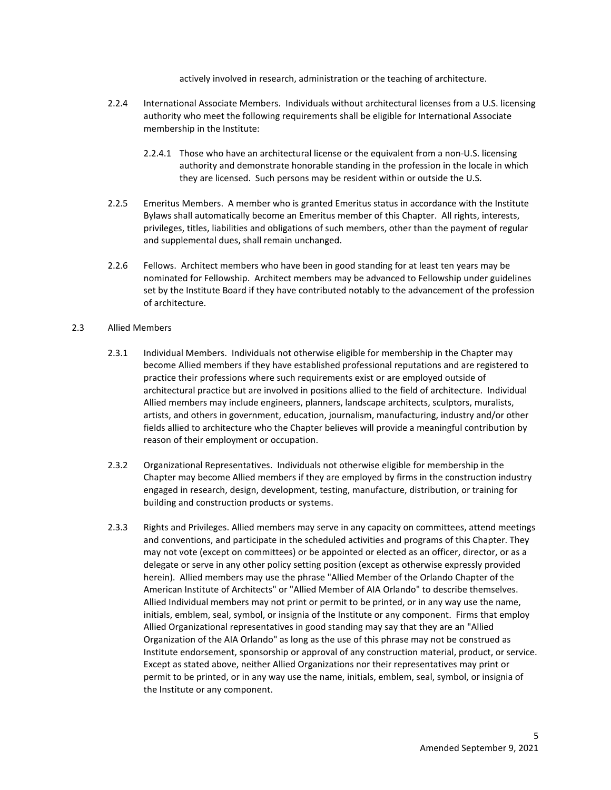actively involved in research, administration or the teaching of architecture.

- 2.2.4 International Associate Members. Individuals without architectural licenses from a U.S. licensing authority who meet the following requirements shall be eligible for International Associate membership in the Institute:
	- 2.2.4.1 Those who have an architectural license or the equivalent from a non-U.S. licensing authority and demonstrate honorable standing in the profession in the locale in which they are licensed. Such persons may be resident within or outside the U.S.
- 2.2.5 Emeritus Members. A member who is granted Emeritus status in accordance with the Institute Bylaws shall automatically become an Emeritus member of this Chapter. All rights, interests, privileges, titles, liabilities and obligations of such members, other than the payment of regular and supplemental dues, shall remain unchanged.
- 2.2.6 Fellows. Architect members who have been in good standing for at least ten years may be nominated for Fellowship. Architect members may be advanced to Fellowship under guidelines set by the Institute Board if they have contributed notably to the advancement of the profession of architecture.

# 2.3 Allied Members

- 2.3.1 Individual Members. Individuals not otherwise eligible for membership in the Chapter may become Allied members if they have established professional reputations and are registered to practice their professions where such requirements exist or are employed outside of architectural practice but are involved in positions allied to the field of architecture. Individual Allied members may include engineers, planners, landscape architects, sculptors, muralists, artists, and others in government, education, journalism, manufacturing, industry and/or other fields allied to architecture who the Chapter believes will provide a meaningful contribution by reason of their employment or occupation.
- 2.3.2 Organizational Representatives. Individuals not otherwise eligible for membership in the Chapter may become Allied members if they are employed by firms in the construction industry engaged in research, design, development, testing, manufacture, distribution, or training for building and construction products or systems.
- 2.3.3 Rights and Privileges. Allied members may serve in any capacity on committees, attend meetings and conventions, and participate in the scheduled activities and programs of this Chapter. They may not vote (except on committees) or be appointed or elected as an officer, director, or as a delegate or serve in any other policy setting position (except as otherwise expressly provided herein). Allied members may use the phrase "Allied Member of the Orlando Chapter of the American Institute of Architects" or "Allied Member of AIA Orlando" to describe themselves. Allied Individual members may not print or permit to be printed, or in any way use the name, initials, emblem, seal, symbol, or insignia of the Institute or any component. Firms that employ Allied Organizational representatives in good standing may say that they are an "Allied Organization of the AIA Orlando" as long as the use of this phrase may not be construed as Institute endorsement, sponsorship or approval of any construction material, product, or service. Except as stated above, neither Allied Organizations nor their representatives may print or permit to be printed, or in any way use the name, initials, emblem, seal, symbol, or insignia of the Institute or any component.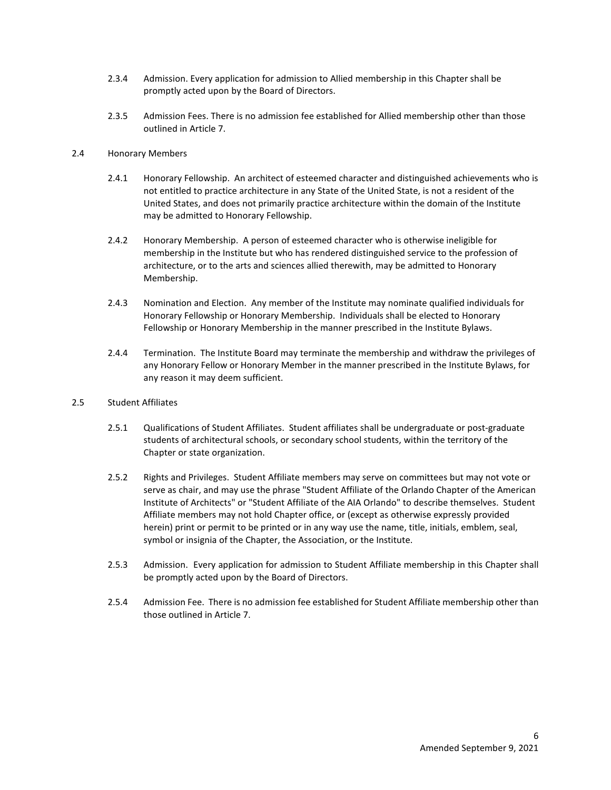- 2.3.4 Admission. Every application for admission to Allied membership in this Chapter shall be promptly acted upon by the Board of Directors.
- 2.3.5 Admission Fees. There is no admission fee established for Allied membership other than those outlined in Article 7.

## 2.4 Honorary Members

- 2.4.1 Honorary Fellowship. An architect of esteemed character and distinguished achievements who is not entitled to practice architecture in any State of the United State, is not a resident of the United States, and does not primarily practice architecture within the domain of the Institute may be admitted to Honorary Fellowship.
- 2.4.2 Honorary Membership. A person of esteemed character who is otherwise ineligible for membership in the Institute but who has rendered distinguished service to the profession of architecture, or to the arts and sciences allied therewith, may be admitted to Honorary Membership.
- 2.4.3 Nomination and Election. Any member of the Institute may nominate qualified individuals for Honorary Fellowship or Honorary Membership. Individuals shall be elected to Honorary Fellowship or Honorary Membership in the manner prescribed in the Institute Bylaws.
- 2.4.4 Termination. The Institute Board may terminate the membership and withdraw the privileges of any Honorary Fellow or Honorary Member in the manner prescribed in the Institute Bylaws, for any reason it may deem sufficient.

# 2.5 Student Affiliates

- 2.5.1 Qualifications of Student Affiliates. Student affiliates shall be undergraduate or post-graduate students of architectural schools, or secondary school students, within the territory of the Chapter or state organization.
- 2.5.2 Rights and Privileges. Student Affiliate members may serve on committees but may not vote or serve as chair, and may use the phrase "Student Affiliate of the Orlando Chapter of the American Institute of Architects" or "Student Affiliate of the AIA Orlando" to describe themselves. Student Affiliate members may not hold Chapter office, or (except as otherwise expressly provided herein) print or permit to be printed or in any way use the name, title, initials, emblem, seal, symbol or insignia of the Chapter, the Association, or the Institute.
- 2.5.3 Admission. Every application for admission to Student Affiliate membership in this Chapter shall be promptly acted upon by the Board of Directors.
- 2.5.4 Admission Fee. There is no admission fee established for Student Affiliate membership other than those outlined in Article 7.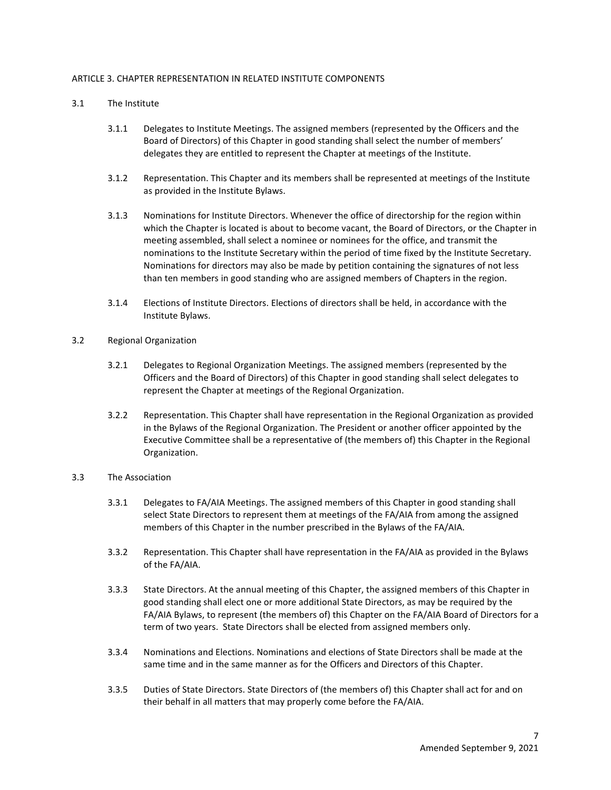## ARTICLE 3. CHAPTER REPRESENTATION IN RELATED INSTITUTE COMPONENTS

- 3.1 The Institute
	- 3.1.1 Delegates to Institute Meetings. The assigned members (represented by the Officers and the Board of Directors) of this Chapter in good standing shall select the number of members' delegates they are entitled to represent the Chapter at meetings of the Institute.
	- 3.1.2 Representation. This Chapter and its members shall be represented at meetings of the Institute as provided in the Institute Bylaws.
	- 3.1.3 Nominations for Institute Directors. Whenever the office of directorship for the region within which the Chapter is located is about to become vacant, the Board of Directors, or the Chapter in meeting assembled, shall select a nominee or nominees for the office, and transmit the nominations to the Institute Secretary within the period of time fixed by the Institute Secretary. Nominations for directors may also be made by petition containing the signatures of not less than ten members in good standing who are assigned members of Chapters in the region.
	- 3.1.4 Elections of Institute Directors. Elections of directors shall be held, in accordance with the Institute Bylaws.
- 3.2 Regional Organization
	- 3.2.1 Delegates to Regional Organization Meetings. The assigned members (represented by the Officers and the Board of Directors) of this Chapter in good standing shall select delegates to represent the Chapter at meetings of the Regional Organization.
	- 3.2.2 Representation. This Chapter shall have representation in the Regional Organization as provided in the Bylaws of the Regional Organization. The President or another officer appointed by the Executive Committee shall be a representative of (the members of) this Chapter in the Regional Organization.

#### 3.3 The Association

- 3.3.1 Delegates to FA/AIA Meetings. The assigned members of this Chapter in good standing shall select State Directors to represent them at meetings of the FA/AIA from among the assigned members of this Chapter in the number prescribed in the Bylaws of the FA/AIA.
- 3.3.2 Representation. This Chapter shall have representation in the FA/AIA as provided in the Bylaws of the FA/AIA.
- 3.3.3 State Directors. At the annual meeting of this Chapter, the assigned members of this Chapter in good standing shall elect one or more additional State Directors, as may be required by the FA/AIA Bylaws, to represent (the members of) this Chapter on the FA/AIA Board of Directors for a term of two years. State Directors shall be elected from assigned members only.
- 3.3.4 Nominations and Elections. Nominations and elections of State Directors shall be made at the same time and in the same manner as for the Officers and Directors of this Chapter.
- 3.3.5 Duties of State Directors. State Directors of (the members of) this Chapter shall act for and on their behalf in all matters that may properly come before the FA/AIA.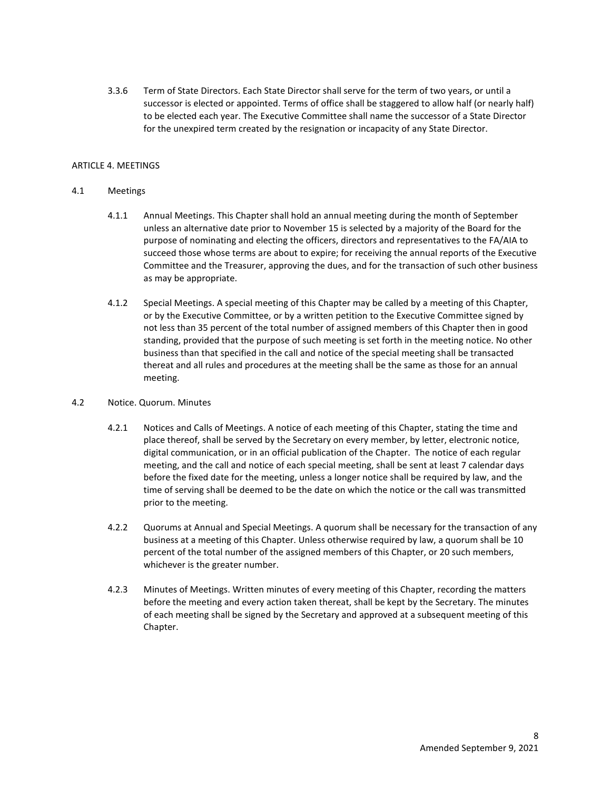3.3.6 Term of State Directors. Each State Director shall serve for the term of two years, or until a successor is elected or appointed. Terms of office shall be staggered to allow half (or nearly half) to be elected each year. The Executive Committee shall name the successor of a State Director for the unexpired term created by the resignation or incapacity of any State Director.

# ARTICLE 4. MEETINGS

# 4.1 Meetings

- 4.1.1 Annual Meetings. This Chapter shall hold an annual meeting during the month of September unless an alternative date prior to November 15 is selected by a majority of the Board for the purpose of nominating and electing the officers, directors and representatives to the FA/AIA to succeed those whose terms are about to expire; for receiving the annual reports of the Executive Committee and the Treasurer, approving the dues, and for the transaction of such other business as may be appropriate.
- 4.1.2 Special Meetings. A special meeting of this Chapter may be called by a meeting of this Chapter, or by the Executive Committee, or by a written petition to the Executive Committee signed by not less than 35 percent of the total number of assigned members of this Chapter then in good standing, provided that the purpose of such meeting is set forth in the meeting notice. No other business than that specified in the call and notice of the special meeting shall be transacted thereat and all rules and procedures at the meeting shall be the same as those for an annual meeting.

# 4.2 Notice. Quorum. Minutes

- 4.2.1 Notices and Calls of Meetings. A notice of each meeting of this Chapter, stating the time and place thereof, shall be served by the Secretary on every member, by letter, electronic notice, digital communication, or in an official publication of the Chapter. The notice of each regular meeting, and the call and notice of each special meeting, shall be sent at least 7 calendar days before the fixed date for the meeting, unless a longer notice shall be required by law, and the time of serving shall be deemed to be the date on which the notice or the call was transmitted prior to the meeting.
- 4.2.2 Quorums at Annual and Special Meetings. A quorum shall be necessary for the transaction of any business at a meeting of this Chapter. Unless otherwise required by law, a quorum shall be 10 percent of the total number of the assigned members of this Chapter, or 20 such members, whichever is the greater number.
- 4.2.3 Minutes of Meetings. Written minutes of every meeting of this Chapter, recording the matters before the meeting and every action taken thereat, shall be kept by the Secretary. The minutes of each meeting shall be signed by the Secretary and approved at a subsequent meeting of this Chapter.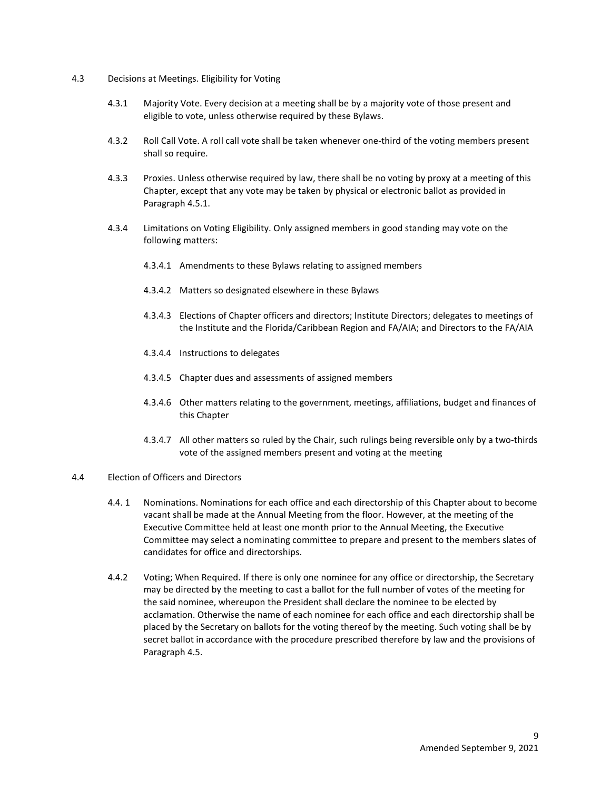- 4.3 Decisions at Meetings. Eligibility for Voting
	- 4.3.1 Majority Vote. Every decision at a meeting shall be by a majority vote of those present and eligible to vote, unless otherwise required by these Bylaws.
	- 4.3.2 Roll Call Vote. A roll call vote shall be taken whenever one-third of the voting members present shall so require.
	- 4.3.3 Proxies. Unless otherwise required by law, there shall be no voting by proxy at a meeting of this Chapter, except that any vote may be taken by physical or electronic ballot as provided in Paragraph 4.5.1.
	- 4.3.4 Limitations on Voting Eligibility. Only assigned members in good standing may vote on the following matters:
		- 4.3.4.1 Amendments to these Bylaws relating to assigned members
		- 4.3.4.2 Matters so designated elsewhere in these Bylaws
		- 4.3.4.3 Elections of Chapter officers and directors; Institute Directors; delegates to meetings of the Institute and the Florida/Caribbean Region and FA/AIA; and Directors to the FA/AIA
		- 4.3.4.4 Instructions to delegates
		- 4.3.4.5 Chapter dues and assessments of assigned members
		- 4.3.4.6 Other matters relating to the government, meetings, affiliations, budget and finances of this Chapter
		- 4.3.4.7 All other matters so ruled by the Chair, such rulings being reversible only by a two-thirds vote of the assigned members present and voting at the meeting

#### 4.4 Election of Officers and Directors

- 4.4. 1 Nominations. Nominations for each office and each directorship of this Chapter about to become vacant shall be made at the Annual Meeting from the floor. However, at the meeting of the Executive Committee held at least one month prior to the Annual Meeting, the Executive Committee may select a nominating committee to prepare and present to the members slates of candidates for office and directorships.
- 4.4.2 Voting; When Required. If there is only one nominee for any office or directorship, the Secretary may be directed by the meeting to cast a ballot for the full number of votes of the meeting for the said nominee, whereupon the President shall declare the nominee to be elected by acclamation. Otherwise the name of each nominee for each office and each directorship shall be placed by the Secretary on ballots for the voting thereof by the meeting. Such voting shall be by secret ballot in accordance with the procedure prescribed therefore by law and the provisions of Paragraph 4.5.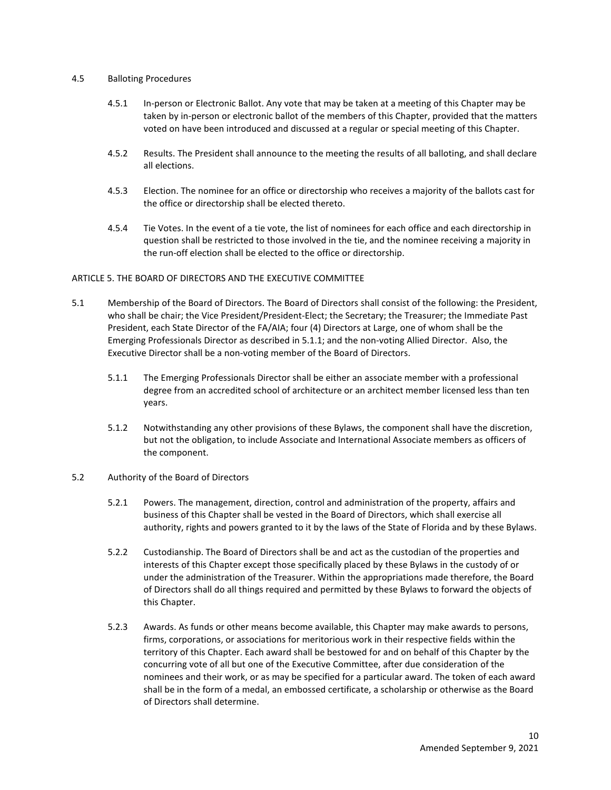## 4.5 Balloting Procedures

- 4.5.1 In-person or Electronic Ballot. Any vote that may be taken at a meeting of this Chapter may be taken by in-person or electronic ballot of the members of this Chapter, provided that the matters voted on have been introduced and discussed at a regular or special meeting of this Chapter.
- 4.5.2 Results. The President shall announce to the meeting the results of all balloting, and shall declare all elections.
- 4.5.3 Election. The nominee for an office or directorship who receives a majority of the ballots cast for the office or directorship shall be elected thereto.
- 4.5.4 Tie Votes. In the event of a tie vote, the list of nominees for each office and each directorship in question shall be restricted to those involved in the tie, and the nominee receiving a majority in the run-off election shall be elected to the office or directorship.

# ARTICLE 5. THE BOARD OF DIRECTORS AND THE EXECUTIVE COMMITTEE

- 5.1 Membership of the Board of Directors. The Board of Directors shall consist of the following: the President, who shall be chair; the Vice President/President-Elect; the Secretary; the Treasurer; the Immediate Past President, each State Director of the FA/AIA; four (4) Directors at Large, one of whom shall be the Emerging Professionals Director as described in 5.1.1; and the non-voting Allied Director. Also, the Executive Director shall be a non-voting member of the Board of Directors.
	- 5.1.1 The Emerging Professionals Director shall be either an associate member with a professional degree from an accredited school of architecture or an architect member licensed less than ten years.
	- 5.1.2 Notwithstanding any other provisions of these Bylaws, the component shall have the discretion, but not the obligation, to include Associate and International Associate members as officers of the component.

#### 5.2 Authority of the Board of Directors

- 5.2.1 Powers. The management, direction, control and administration of the property, affairs and business of this Chapter shall be vested in the Board of Directors, which shall exercise all authority, rights and powers granted to it by the laws of the State of Florida and by these Bylaws.
- 5.2.2 Custodianship. The Board of Directors shall be and act as the custodian of the properties and interests of this Chapter except those specifically placed by these Bylaws in the custody of or under the administration of the Treasurer. Within the appropriations made therefore, the Board of Directors shall do all things required and permitted by these Bylaws to forward the objects of this Chapter.
- 5.2.3 Awards. As funds or other means become available, this Chapter may make awards to persons, firms, corporations, or associations for meritorious work in their respective fields within the territory of this Chapter. Each award shall be bestowed for and on behalf of this Chapter by the concurring vote of all but one of the Executive Committee, after due consideration of the nominees and their work, or as may be specified for a particular award. The token of each award shall be in the form of a medal, an embossed certificate, a scholarship or otherwise as the Board of Directors shall determine.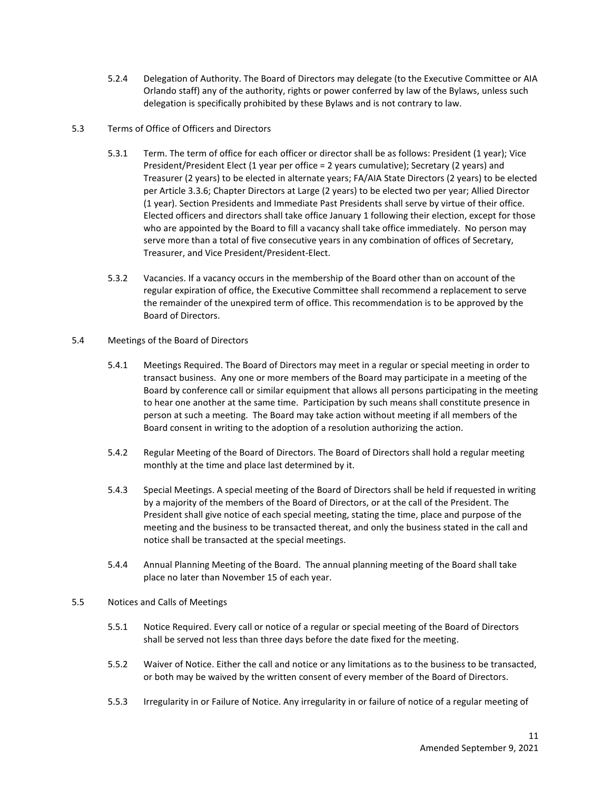- 5.2.4 Delegation of Authority. The Board of Directors may delegate (to the Executive Committee or AIA Orlando staff) any of the authority, rights or power conferred by law of the Bylaws, unless such delegation is specifically prohibited by these Bylaws and is not contrary to law.
- 5.3 Terms of Office of Officers and Directors
	- 5.3.1 Term. The term of office for each officer or director shall be as follows: President (1 year); Vice President/President Elect (1 year per office = 2 years cumulative); Secretary (2 years) and Treasurer (2 years) to be elected in alternate years; FA/AIA State Directors (2 years) to be elected per Article 3.3.6; Chapter Directors at Large (2 years) to be elected two per year; Allied Director (1 year). Section Presidents and Immediate Past Presidents shall serve by virtue of their office. Elected officers and directors shall take office January 1 following their election, except for those who are appointed by the Board to fill a vacancy shall take office immediately. No person may serve more than a total of five consecutive years in any combination of offices of Secretary, Treasurer, and Vice President/President-Elect.
	- 5.3.2 Vacancies. If a vacancy occurs in the membership of the Board other than on account of the regular expiration of office, the Executive Committee shall recommend a replacement to serve the remainder of the unexpired term of office. This recommendation is to be approved by the Board of Directors.
- 5.4 Meetings of the Board of Directors
	- 5.4.1 Meetings Required. The Board of Directors may meet in a regular or special meeting in order to transact business. Any one or more members of the Board may participate in a meeting of the Board by conference call or similar equipment that allows all persons participating in the meeting to hear one another at the same time. Participation by such means shall constitute presence in person at such a meeting. The Board may take action without meeting if all members of the Board consent in writing to the adoption of a resolution authorizing the action.
	- 5.4.2 Regular Meeting of the Board of Directors. The Board of Directors shall hold a regular meeting monthly at the time and place last determined by it.
	- 5.4.3 Special Meetings. A special meeting of the Board of Directors shall be held if requested in writing by a majority of the members of the Board of Directors, or at the call of the President. The President shall give notice of each special meeting, stating the time, place and purpose of the meeting and the business to be transacted thereat, and only the business stated in the call and notice shall be transacted at the special meetings.
	- 5.4.4 Annual Planning Meeting of the Board. The annual planning meeting of the Board shall take place no later than November 15 of each year.
- 5.5 Notices and Calls of Meetings
	- 5.5.1 Notice Required. Every call or notice of a regular or special meeting of the Board of Directors shall be served not less than three days before the date fixed for the meeting.
	- 5.5.2 Waiver of Notice. Either the call and notice or any limitations as to the business to be transacted, or both may be waived by the written consent of every member of the Board of Directors.
	- 5.5.3 Irregularity in or Failure of Notice. Any irregularity in or failure of notice of a regular meeting of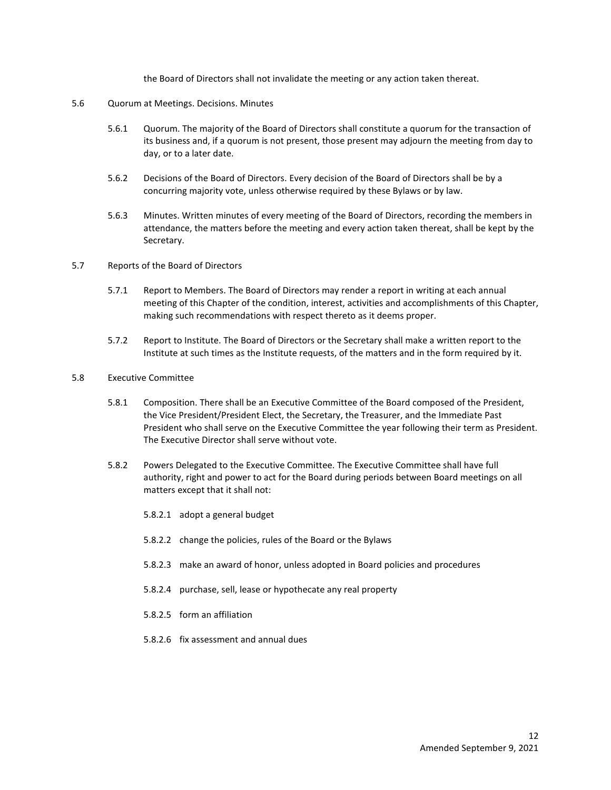the Board of Directors shall not invalidate the meeting or any action taken thereat.

## 5.6 Quorum at Meetings. Decisions. Minutes

- 5.6.1 Quorum. The majority of the Board of Directors shall constitute a quorum for the transaction of its business and, if a quorum is not present, those present may adjourn the meeting from day to day, or to a later date.
- 5.6.2 Decisions of the Board of Directors. Every decision of the Board of Directors shall be by a concurring majority vote, unless otherwise required by these Bylaws or by law.
- 5.6.3 Minutes. Written minutes of every meeting of the Board of Directors, recording the members in attendance, the matters before the meeting and every action taken thereat, shall be kept by the Secretary.
- 5.7 Reports of the Board of Directors
	- 5.7.1 Report to Members. The Board of Directors may render a report in writing at each annual meeting of this Chapter of the condition, interest, activities and accomplishments of this Chapter, making such recommendations with respect thereto as it deems proper.
	- 5.7.2 Report to Institute. The Board of Directors or the Secretary shall make a written report to the Institute at such times as the Institute requests, of the matters and in the form required by it.
- 5.8 Executive Committee
	- 5.8.1 Composition. There shall be an Executive Committee of the Board composed of the President, the Vice President/President Elect, the Secretary, the Treasurer, and the Immediate Past President who shall serve on the Executive Committee the year following their term as President. The Executive Director shall serve without vote.
	- 5.8.2 Powers Delegated to the Executive Committee. The Executive Committee shall have full authority, right and power to act for the Board during periods between Board meetings on all matters except that it shall not:
		- 5.8.2.1 adopt a general budget
		- 5.8.2.2 change the policies, rules of the Board or the Bylaws
		- 5.8.2.3 make an award of honor, unless adopted in Board policies and procedures
		- 5.8.2.4 purchase, sell, lease or hypothecate any real property
		- 5.8.2.5 form an affiliation
		- 5.8.2.6 fix assessment and annual dues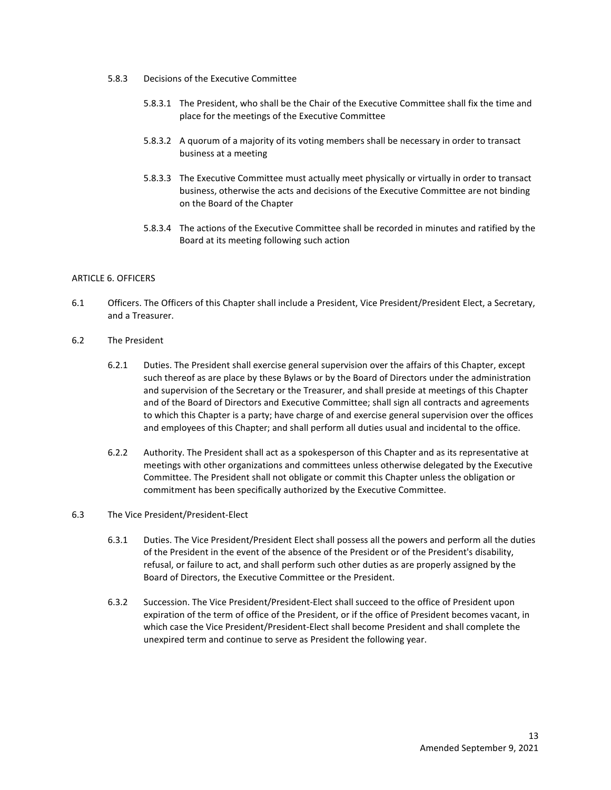- 5.8.3 Decisions of the Executive Committee
	- 5.8.3.1 The President, who shall be the Chair of the Executive Committee shall fix the time and place for the meetings of the Executive Committee
	- 5.8.3.2 A quorum of a majority of its voting members shall be necessary in order to transact business at a meeting
	- 5.8.3.3 The Executive Committee must actually meet physically or virtually in order to transact business, otherwise the acts and decisions of the Executive Committee are not binding on the Board of the Chapter
	- 5.8.3.4 The actions of the Executive Committee shall be recorded in minutes and ratified by the Board at its meeting following such action

# ARTICLE 6. OFFICERS

- 6.1 Officers. The Officers of this Chapter shall include a President, Vice President/President Elect, a Secretary, and a Treasurer.
- 6.2 The President
	- 6.2.1 Duties. The President shall exercise general supervision over the affairs of this Chapter, except such thereof as are place by these Bylaws or by the Board of Directors under the administration and supervision of the Secretary or the Treasurer, and shall preside at meetings of this Chapter and of the Board of Directors and Executive Committee; shall sign all contracts and agreements to which this Chapter is a party; have charge of and exercise general supervision over the offices and employees of this Chapter; and shall perform all duties usual and incidental to the office.
	- 6.2.2 Authority. The President shall act as a spokesperson of this Chapter and as its representative at meetings with other organizations and committees unless otherwise delegated by the Executive Committee. The President shall not obligate or commit this Chapter unless the obligation or commitment has been specifically authorized by the Executive Committee.

# 6.3 The Vice President/President-Elect

- 6.3.1 Duties. The Vice President/President Elect shall possess all the powers and perform all the duties of the President in the event of the absence of the President or of the President's disability, refusal, or failure to act, and shall perform such other duties as are properly assigned by the Board of Directors, the Executive Committee or the President.
- 6.3.2 Succession. The Vice President/President-Elect shall succeed to the office of President upon expiration of the term of office of the President, or if the office of President becomes vacant, in which case the Vice President/President-Elect shall become President and shall complete the unexpired term and continue to serve as President the following year.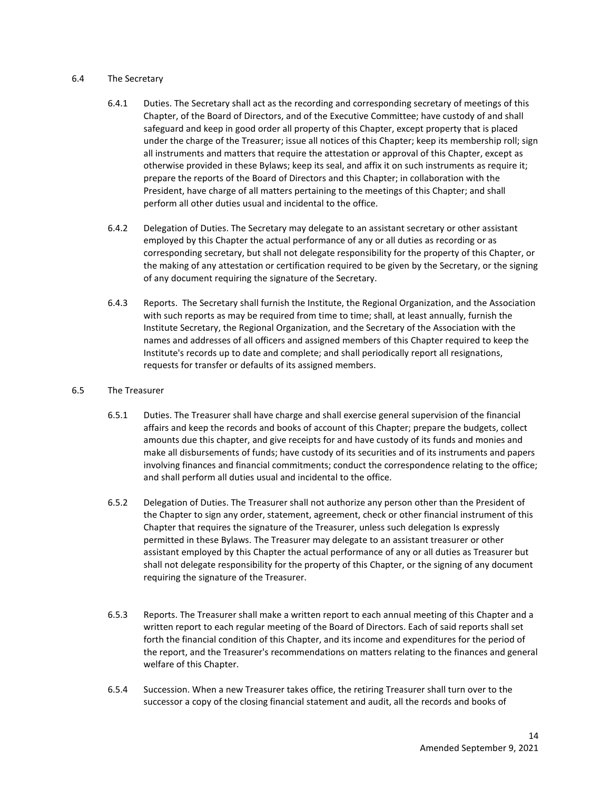## 6.4 The Secretary

- 6.4.1 Duties. The Secretary shall act as the recording and corresponding secretary of meetings of this Chapter, of the Board of Directors, and of the Executive Committee; have custody of and shall safeguard and keep in good order all property of this Chapter, except property that is placed under the charge of the Treasurer; issue all notices of this Chapter; keep its membership roll; sign all instruments and matters that require the attestation or approval of this Chapter, except as otherwise provided in these Bylaws; keep its seal, and affix it on such instruments as require it; prepare the reports of the Board of Directors and this Chapter; in collaboration with the President, have charge of all matters pertaining to the meetings of this Chapter; and shall perform all other duties usual and incidental to the office.
- 6.4.2 Delegation of Duties. The Secretary may delegate to an assistant secretary or other assistant employed by this Chapter the actual performance of any or all duties as recording or as corresponding secretary, but shall not delegate responsibility for the property of this Chapter, or the making of any attestation or certification required to be given by the Secretary, or the signing of any document requiring the signature of the Secretary.
- 6.4.3 Reports. The Secretary shall furnish the Institute, the Regional Organization, and the Association with such reports as may be required from time to time; shall, at least annually, furnish the Institute Secretary, the Regional Organization, and the Secretary of the Association with the names and addresses of all officers and assigned members of this Chapter required to keep the Institute's records up to date and complete; and shall periodically report all resignations, requests for transfer or defaults of its assigned members.

# 6.5 The Treasurer

- 6.5.1 Duties. The Treasurer shall have charge and shall exercise general supervision of the financial affairs and keep the records and books of account of this Chapter; prepare the budgets, collect amounts due this chapter, and give receipts for and have custody of its funds and monies and make all disbursements of funds; have custody of its securities and of its instruments and papers involving finances and financial commitments; conduct the correspondence relating to the office; and shall perform all duties usual and incidental to the office.
- 6.5.2 Delegation of Duties. The Treasurer shall not authorize any person other than the President of the Chapter to sign any order, statement, agreement, check or other financial instrument of this Chapter that requires the signature of the Treasurer, unless such delegation Is expressly permitted in these Bylaws. The Treasurer may delegate to an assistant treasurer or other assistant employed by this Chapter the actual performance of any or all duties as Treasurer but shall not delegate responsibility for the property of this Chapter, or the signing of any document requiring the signature of the Treasurer.
- 6.5.3 Reports. The Treasurer shall make a written report to each annual meeting of this Chapter and a written report to each regular meeting of the Board of Directors. Each of said reports shall set forth the financial condition of this Chapter, and its income and expenditures for the period of the report, and the Treasurer's recommendations on matters relating to the finances and general welfare of this Chapter.
- 6.5.4 Succession. When a new Treasurer takes office, the retiring Treasurer shall turn over to the successor a copy of the closing financial statement and audit, all the records and books of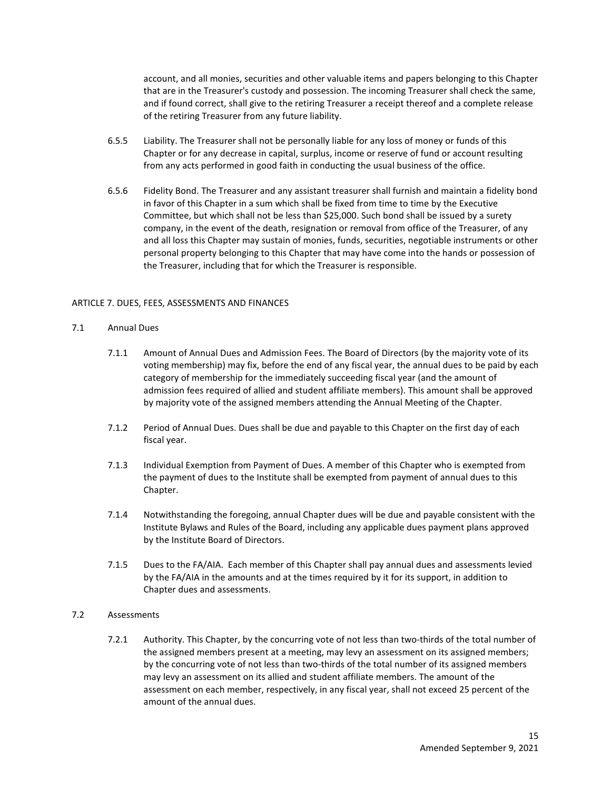account, and all monies, securities and other valuable items and papers belonging to this Chapter that are in the Treasurer's custody and possession. The incoming Treasurer shall check the same, and if found correct, shall give to the retiring Treasurer a receipt thereof and a complete release of the retiring Treasurer from any future liability.

- 6.5.5 Liability. The Treasurer shall not be personally liable for any loss of money or funds of this Chapter or for any decrease in capital, surplus, income or reserve of fund or account resulting from any acts performed in good faith in conducting the usual business of the office.
- 6.5.6 Fidelity Bond. The Treasurer and any assistant treasurer shall furnish and maintain a fidelity bond in favor of this Chapter in a sum which shall be fixed from time to time by the Executive Committee, but which shall not be less than \$25,000. Such bond shall be issued by a surety company, in the event of the death, resignation or removal from office of the Treasurer, of any and all loss this Chapter may sustain of monies, funds, securities, negotiable instruments or other personal property belonging to this Chapter that may have come into the hands or possession of the Treasurer, including that for which the Treasurer is responsible.

## ARTICLE 7. DUES, FEES, ASSESSMENTS AND FINANCES

## 7.1 Annual Dues

- 7.1.1 Amount of Annual Dues and Admission Fees. The Board of Directors (by the majority vote of its voting membership) may fix, before the end of any fiscal year, the annual dues to be paid by each category of membership for the immediately succeeding fiscal year (and the amount of admission fees required of allied and student affiliate members). This amount shall be approved by majority vote of the assigned members attending the Annual Meeting of the Chapter.
- 7.1.2 Period of Annual Dues. Dues shall be due and payable to this Chapter on the first day of each fiscal year.
- 7.1.3 Individual Exemption from Payment of Dues. A member of this Chapter who is exempted from the payment of dues to the Institute shall be exempted from payment of annual dues to this Chapter.
- 7.1.4 Notwithstanding the foregoing, annual Chapter dues will be due and payable consistent with the Institute Bylaws and Rules of the Board, including any applicable dues payment plans approved by the Institute Board of Directors.
- 7.1.5 Dues to the FA/AIA. Each member of this Chapter shall pay annual dues and assessments levied by the FA/AIA in the amounts and at the times required by it for its support, in addition to Chapter dues and assessments.

# 7.2 Assessments

7.2.1 Authority. This Chapter, by the concurring vote of not less than two-thirds of the total number of the assigned members present at a meeting, may levy an assessment on its assigned members; by the concurring vote of not less than two-thirds of the total number of its assigned members may levy an assessment on its allied and student affiliate members. The amount of the assessment on each member, respectively, in any fiscal year, shall not exceed 25 percent of the amount of the annual dues.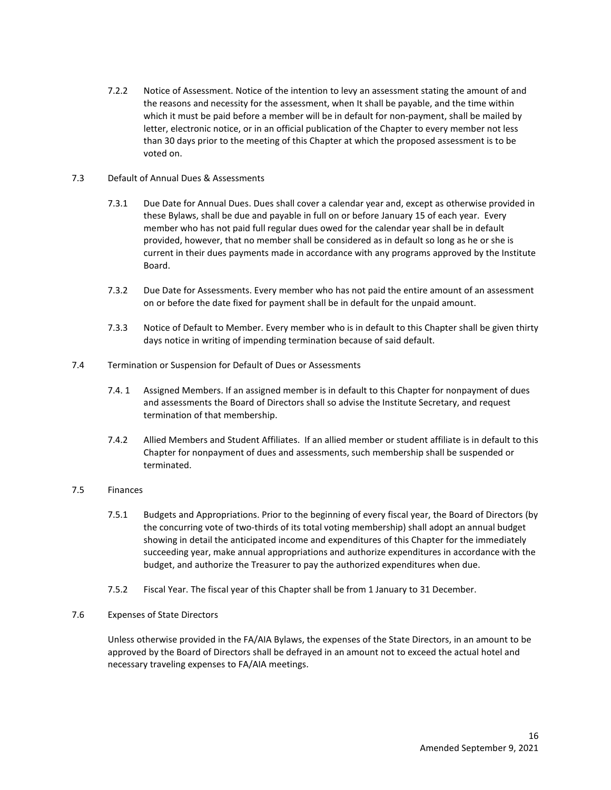7.2.2 Notice of Assessment. Notice of the intention to levy an assessment stating the amount of and the reasons and necessity for the assessment, when It shall be payable, and the time within which it must be paid before a member will be in default for non-payment, shall be mailed by letter, electronic notice, or in an official publication of the Chapter to every member not less than 30 days prior to the meeting of this Chapter at which the proposed assessment is to be voted on.

# 7.3 Default of Annual Dues & Assessments

- 7.3.1 Due Date for Annual Dues. Dues shall cover a calendar year and, except as otherwise provided in these Bylaws, shall be due and payable in full on or before January 15 of each year. Every member who has not paid full regular dues owed for the calendar year shall be in default provided, however, that no member shall be considered as in default so long as he or she is current in their dues payments made in accordance with any programs approved by the Institute Board.
- 7.3.2 Due Date for Assessments. Every member who has not paid the entire amount of an assessment on or before the date fixed for payment shall be in default for the unpaid amount.
- 7.3.3 Notice of Default to Member. Every member who is in default to this Chapter shall be given thirty days notice in writing of impending termination because of said default.
- 7.4 Termination or Suspension for Default of Dues or Assessments
	- 7.4. 1 Assigned Members. If an assigned member is in default to this Chapter for nonpayment of dues and assessments the Board of Directors shall so advise the Institute Secretary, and request termination of that membership.
	- 7.4.2 Allied Members and Student Affiliates. If an allied member or student affiliate is in default to this Chapter for nonpayment of dues and assessments, such membership shall be suspended or terminated.

#### 7.5 Finances

- 7.5.1 Budgets and Appropriations. Prior to the beginning of every fiscal year, the Board of Directors (by the concurring vote of two-thirds of its total voting membership) shall adopt an annual budget showing in detail the anticipated income and expenditures of this Chapter for the immediately succeeding year, make annual appropriations and authorize expenditures in accordance with the budget, and authorize the Treasurer to pay the authorized expenditures when due.
- 7.5.2 Fiscal Year. The fiscal year of this Chapter shall be from 1 January to 31 December.
- 7.6 Expenses of State Directors

 Unless otherwise provided in the FA/AIA Bylaws, the expenses of the State Directors, in an amount to be approved by the Board of Directors shall be defrayed in an amount not to exceed the actual hotel and necessary traveling expenses to FA/AIA meetings.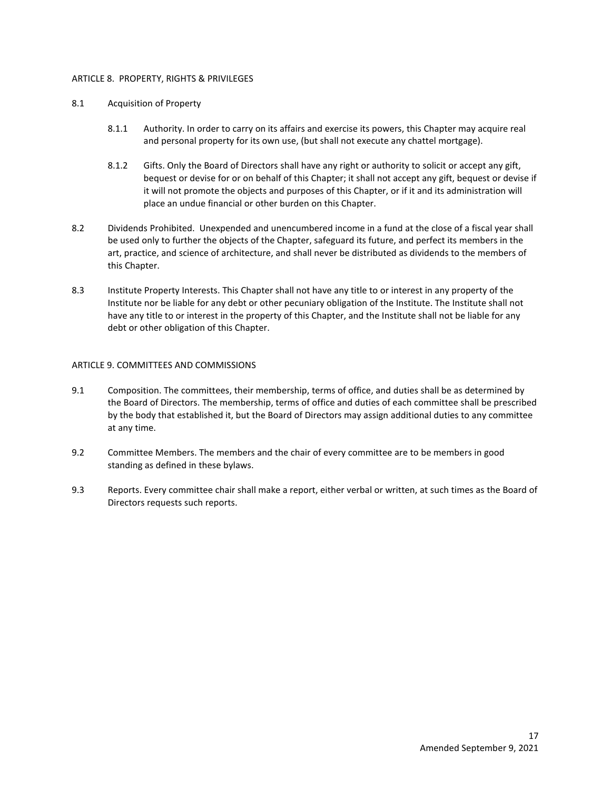## ARTICLE 8. PROPERTY, RIGHTS & PRIVILEGES

## 8.1 Acquisition of Property

- 8.1.1 Authority. In order to carry on its affairs and exercise its powers, this Chapter may acquire real and personal property for its own use, (but shall not execute any chattel mortgage).
- 8.1.2 Gifts. Only the Board of Directors shall have any right or authority to solicit or accept any gift, bequest or devise for or on behalf of this Chapter; it shall not accept any gift, bequest or devise if it will not promote the objects and purposes of this Chapter, or if it and its administration will place an undue financial or other burden on this Chapter.
- 8.2 Dividends Prohibited. Unexpended and unencumbered income in a fund at the close of a fiscal year shall be used only to further the objects of the Chapter, safeguard its future, and perfect its members in the art, practice, and science of architecture, and shall never be distributed as dividends to the members of this Chapter.
- 8.3 Institute Property Interests. This Chapter shall not have any title to or interest in any property of the Institute nor be liable for any debt or other pecuniary obligation of the Institute. The Institute shall not have any title to or interest in the property of this Chapter, and the Institute shall not be liable for any debt or other obligation of this Chapter.

## ARTICLE 9. COMMITTEES AND COMMISSIONS

- 9.1 Composition. The committees, their membership, terms of office, and duties shall be as determined by the Board of Directors. The membership, terms of office and duties of each committee shall be prescribed by the body that established it, but the Board of Directors may assign additional duties to any committee at any time.
- 9.2 Committee Members. The members and the chair of every committee are to be members in good standing as defined in these bylaws.
- 9.3 Reports. Every committee chair shall make a report, either verbal or written, at such times as the Board of Directors requests such reports.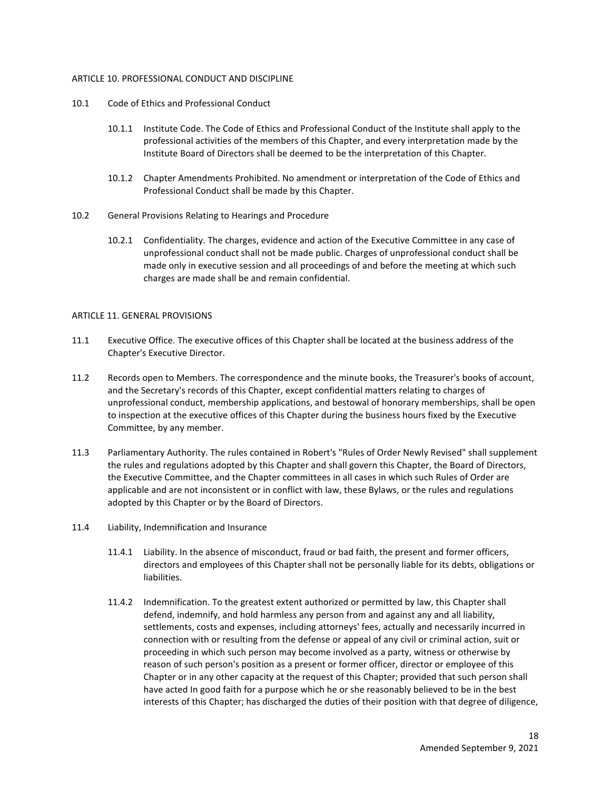## ARTICLE 10. PROFESSIONAL CONDUCT AND DISCIPLINE

- 10.1 Code of Ethics and Professional Conduct
	- 10.1.1 Institute Code. The Code of Ethics and Professional Conduct of the Institute shall apply to the professional activities of the members of this Chapter, and every interpretation made by the Institute Board of Directors shall be deemed to be the interpretation of this Chapter.
	- 10.1.2 Chapter Amendments Prohibited. No amendment or interpretation of the Code of Ethics and Professional Conduct shall be made by this Chapter.
- 10.2 General Provisions Relating to Hearings and Procedure
	- 10.2.1 Confidentiality. The charges, evidence and action of the Executive Committee in any case of unprofessional conduct shall not be made public. Charges of unprofessional conduct shall be made only in executive session and all proceedings of and before the meeting at which such charges are made shall be and remain confidential.

## ARTICLE 11. GENERAL PROVISIONS

- 11.1 Executive Office. The executive offices of this Chapter shall be located at the business address of the Chapter's Executive Director.
- 11.2 Records open to Members. The correspondence and the minute books, the Treasurer's books of account, and the Secretary's records of this Chapter, except confidential matters relating to charges of unprofessional conduct, membership applications, and bestowal of honorary memberships, shall be open to inspection at the executive offices of this Chapter during the business hours fixed by the Executive Committee, by any member.
- 11.3 Parliamentary Authority. The rules contained in Robert's "Rules of Order Newly Revised" shall supplement the rules and regulations adopted by this Chapter and shall govern this Chapter, the Board of Directors, the Executive Committee, and the Chapter committees in all cases in which such Rules of Order are applicable and are not inconsistent or in conflict with law, these Bylaws, or the rules and regulations adopted by this Chapter or by the Board of Directors.
- 11.4 Liability, Indemnification and Insurance
	- 11.4.1 Liability. In the absence of misconduct, fraud or bad faith, the present and former officers, directors and employees of this Chapter shall not be personally liable for its debts, obligations or liabilities.
	- 11.4.2 Indemnification. To the greatest extent authorized or permitted by law, this Chapter shall defend, indemnify, and hold harmless any person from and against any and all liability, settlements, costs and expenses, including attorneys' fees, actually and necessarily incurred in connection with or resulting from the defense or appeal of any civil or criminal action, suit or proceeding in which such person may become involved as a party, witness or otherwise by reason of such person's position as a present or former officer, director or employee of this Chapter or in any other capacity at the request of this Chapter; provided that such person shall have acted In good faith for a purpose which he or she reasonably believed to be in the best interests of this Chapter; has discharged the duties of their position with that degree of diligence,